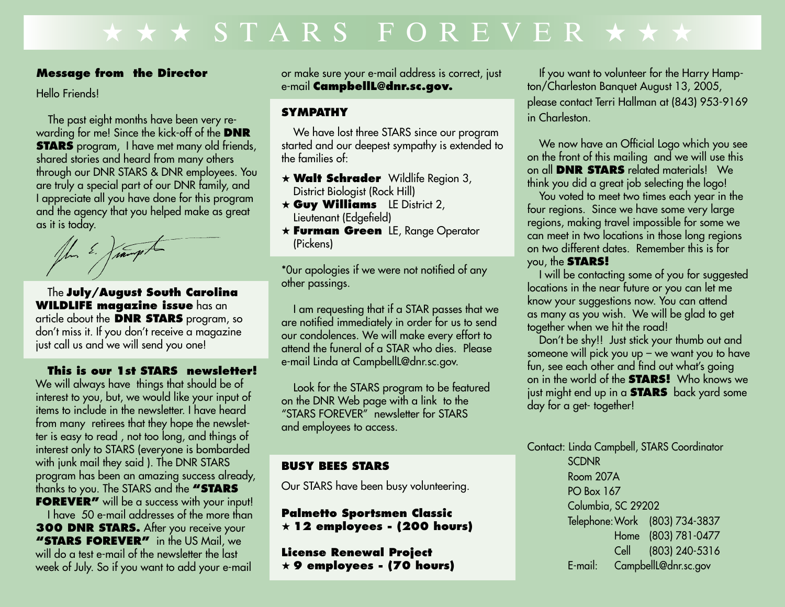# ★ ★ ★ S T A R S F O R E V E R ★ ★ ★

#### **Message from the Director**

Hello Friends!

 The past eight months have been very rewarding for me! Since the kick-off of the **DNR STARS** program, I have met many old friends, shared stories and heard from many others through our DNR STARS & DNR employees. You are truly a special part of our DNR family, and I appreciate all you have done for this program and the agency that you helped make as great as it is today.

Jun E. Jumpt

 The **July/August South Carolina WILDLIFE magazine issue** has an article about the **DNR STARS** program, so don't miss it. If you don't receive a magazine just call us and we will send you one!

#### **This is our 1st STARS newsletter!**

We will always have things that should be of interest to you, but, we would like your input of items to include in the newsletter. I have heard from many retirees that they hope the newsletter is easy to read , not too long, and things of interest only to STARS (everyone is bombarded with junk mail they said ). The DNR STARS program has been an amazing success already, thanks to you. The STARS and the **"STARS FOREVER"** will be a success with your input!

 I have 50 e-mail addresses of the more than **300 DNR STARS.** After you receive your **"STARS FOREVER"** in the US Mail, we will do a test e-mail of the newsletter the last week of July. So if you want to add your e-mail

or make sure your e-mail address is correct, just e-mail **CampbellL@dnr.sc.gov.** 

#### **SYMPATHY**

 We have lost three STARS since our program started and our deepest sympathy is extended to the families of:

- ★ **Walt Schrader** Wildlife Region 3, District Biologist (Rock Hill)
- ★ **Guy Williams** LE District 2, Lieutenant (Edgefield)
- ★ **Furman Green** LE, Range Operator (Pickens)

\*0ur apologies if we were not notified of any other passings.

 I am requesting that if a STAR passes that we are notified immediately in order for us to send our condolences. We will make every effort to attend the funeral of a STAR who dies. Please e-mail Linda at CampbellL@dnr.sc.gov.

 Look for the STARS program to be featured on the DNR Web page with a link to the "STARS FOREVER" newsletter for STARS and employees to access.

#### **BUSY BEES STARS**

Our STARS have been busy volunteering.

#### **Palmetto Sportsmen Classic**  ★ **12 employees - (200 hours)**

**License Renewal Project**  ★ **9 employees - (70 hours)**

If you want to volunteer for the Harry Hampton/Charleston Banquet August 13, 2005, please contact Terri Hallman at (843) 953-9169 in Charleston.

 We now have an Official Logo which you see on the front of this mailing and we will use this on all **DNR STARS** related materials! We think you did a great job selecting the logo!

 You voted to meet two times each year in the four regions. Since we have some very large regions, making travel impossible for some we can meet in two locations in those long regions on two different dates. Remember this is for you, the **STARS!** 

 I will be contacting some of you for suggested locations in the near future or you can let me know your suggestions now. You can attend as many as you wish. We will be glad to get together when we hit the road!

 Don't be shy!! Just stick your thumb out and someone will pick you up – we want you to have fun, see each other and find out what's going on in the world of the **STARS!** Who knows we just might end up in a **STARS** back yard some day for a get- together!

#### Contact: Linda Campbell, STARS Coordinator

**SCDNR**  Room 207A PO Box 167 Columbia, SC 29202 Telephone: Work (803) 734-3837 Home (803) 781-0477 Cell (803) 240-5316 E-mail: CampbellL@dnr.sc.gov